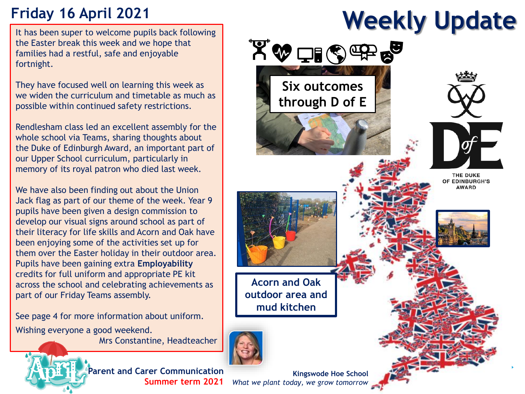# **Friday 16 April 2021**

It has been super to welcome pupils back following the Easter break this week and we hope that families had a restful, safe and enjoyable fortnight.

They have focused well on learning this week as we widen the curriculum and timetable as much as possible within continued safety restrictions.

Rendlesham class led an excellent assembly for the whole school via Teams, sharing thoughts about the Duke of Edinburgh Award, an important part of our Upper School curriculum, particularly in memory of its royal patron who died last week.

We have also been finding out about the Union Jack flag as part of our theme of the week. Year 9 pupils have been given a design commission to develop our visual signs around school as part of their literacy for life skills and Acorn and Oak have been enjoying some of the activities set up for them over the Easter holiday in their outdoor area. Pupils have been gaining extra **Employability** credits for full uniform and appropriate PE kit across the school and celebrating achievements as part of our Friday Teams assembly.

See page 4 for more information about uniform. Wishing everyone a good weekend.

Mrs Constantine, Headteacher



**Parent and Carer Communication Summer term 2021**

**Kingswode Hoe School** *What we plant today, we grow tomorrow*

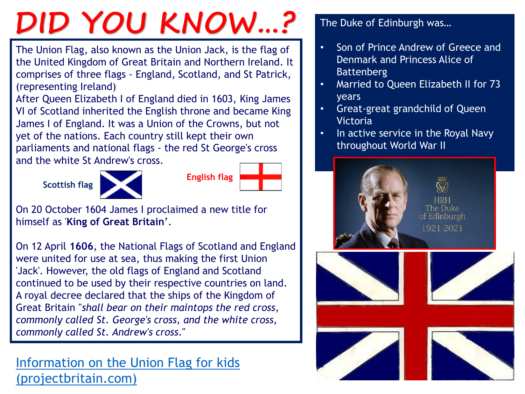# **DID YOU KNOW…?**

The Union Flag, also known as the Union Jack, is the flag of the United Kingdom of Great Britain and Northern Ireland. It comprises of three flags - England, Scotland, and St Patrick, (representing Ireland)

After Queen Elizabeth I of England died in 1603, King James VI of Scotland inherited the English throne and became King James I of England. It was a Union of the Crowns, but not yet of the nations. Each country still kept their own parliaments and national flags - the red St George's cross and the white St Andrew's cross.





| <b>English flag</b> |  |
|---------------------|--|
|                     |  |

On 20 October 1604 James I proclaimed a new title for himself as '**King of Great Britain**'.

On 12 April **1606**, the National Flags of Scotland and England were united for use at sea, thus making the first Union 'Jack'. However, the old flags of England and Scotland continued to be used by their respective countries on land. A royal decree declared that the ships of the Kingdom of Great Britain "*shall bear on their maintops the red cross, commonly called St. George's cross, and the white cross, commonly called St. Andrew's cross*."

[Information on the Union Flag for kids](http://www.projectbritain.com/calendar/April/unionflag.html)  (projectbritain.com)

## The Duke of Edinburgh was…

- Son of Prince Andrew of Greece and Denmark and Princess Alice of Battenberg
- Married to Queen Elizabeth II for 73 years
- Great-great grandchild of Queen Victoria
- In active service in the Royal Navy throughout World War II

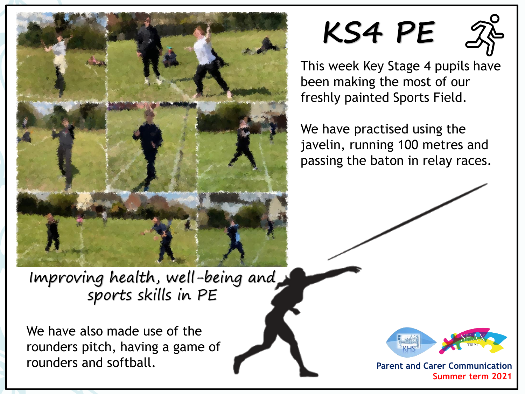

**KS4 PE**



This week Key Stage 4 pupils have been making the most of our freshly painted Sports Field.

We have practised using the javelin, running 100 metres and passing the baton in relay races.

Improving health, well-being and sports skills in PE

We have also made use of the rounders pitch, having a game of rounders and softball.



**Parent and Carer Communication Summer term 2021**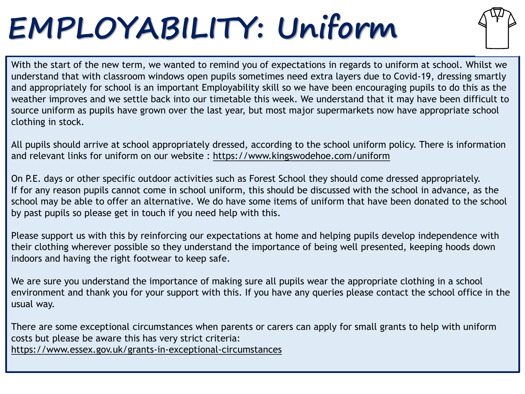# **EMPLOYABILITY: Uniform**



With the start of the new term, we wanted to remind you of expectations in regards to uniform at school. Whilst we understand that with classroom windows open pupils sometimes need extra layers due to Covid-19, dressing smartly and appropriately for school is an important Employability skill so we have been encouraging pupils to do this as the weather improves and we settle back into our timetable this week. We understand that it may have been difficult to source uniform as pupils have grown over the last year, but most major supermarkets now have appropriate school clothing in stock.

All pupils should arrive at school appropriately dressed, according to the school uniform policy. There is information and relevant links for uniform on our website :<https://www.kingswodehoe.com/uniform>

On P.E. days or other specific outdoor activities such as Forest School they should come dressed appropriately. If for any reason pupils cannot come in school uniform, this should be discussed with the school in advance, as the school may be able to offer an alternative. We do have some items of uniform that have been donated to the school by past pupils so please get in touch if you need help with this.

Please support us with this by reinforcing our expectations at home and helping pupils develop independence with their clothing wherever possible so they understand the importance of being well presented, keeping hoods down indoors and having the right footwear to keep safe.

We are sure you understand the importance of making sure all pupils wear the appropriate clothing in a school environment and thank you for your support with this. If you have any queries please contact the school office in the usual way.

There are some exceptional circumstances when parents or carers can apply for small grants to help with uniform costs but please be aware this has very strict criteria: <https://www.essex.gov.uk/grants-in-exceptional-circumstances>